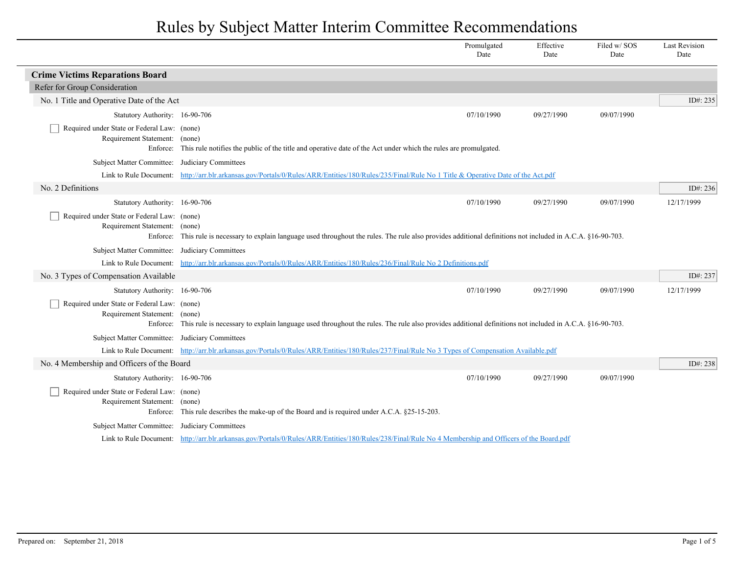|                                                                              |                                                                                                                                                                 | Promulgated<br>Date | Effective<br>Date | Filed w/SOS<br>Date | <b>Last Revision</b><br>Date |
|------------------------------------------------------------------------------|-----------------------------------------------------------------------------------------------------------------------------------------------------------------|---------------------|-------------------|---------------------|------------------------------|
| <b>Crime Victims Reparations Board</b>                                       |                                                                                                                                                                 |                     |                   |                     |                              |
| Refer for Group Consideration                                                |                                                                                                                                                                 |                     |                   |                     |                              |
| No. 1 Title and Operative Date of the Act                                    |                                                                                                                                                                 |                     |                   |                     | ID#: 235                     |
| Statutory Authority: 16-90-706                                               |                                                                                                                                                                 | 07/10/1990          | 09/27/1990        | 09/07/1990          |                              |
| Required under State or Federal Law: (none)                                  |                                                                                                                                                                 |                     |                   |                     |                              |
| Requirement Statement: (none)                                                |                                                                                                                                                                 |                     |                   |                     |                              |
|                                                                              | Enforce: This rule notifies the public of the title and operative date of the Act under which the rules are promulgated.                                        |                     |                   |                     |                              |
| Subject Matter Committee: Judiciary Committees                               |                                                                                                                                                                 |                     |                   |                     |                              |
|                                                                              | Link to Rule Document: http://arr.blr.arkansas.gov/Portals/0/Rules/ARR/Entities/180/Rules/235/Final/Rule No 1 Title & Operative Date of the Act.pdf             |                     |                   |                     |                              |
| No. 2 Definitions                                                            |                                                                                                                                                                 |                     |                   |                     | ID#: 236                     |
| Statutory Authority: 16-90-706                                               |                                                                                                                                                                 | 07/10/1990          | 09/27/1990        | 09/07/1990          | 12/17/1999                   |
| Required under State or Federal Law: (none)<br>Requirement Statement: (none) | Enforce: This rule is necessary to explain language used throughout the rules. The rule also provides additional definitions not included in A.C.A. §16-90-703. |                     |                   |                     |                              |
| Subject Matter Committee: Judiciary Committees                               |                                                                                                                                                                 |                     |                   |                     |                              |
|                                                                              | Link to Rule Document: http://arr.blr.arkansas.gov/Portals/0/Rules/ARR/Entities/180/Rules/236/Final/Rule No 2 Definitions.pdf                                   |                     |                   |                     |                              |
| No. 3 Types of Compensation Available                                        |                                                                                                                                                                 |                     |                   |                     | ID#: 237                     |
| Statutory Authority: 16-90-706                                               |                                                                                                                                                                 | 07/10/1990          | 09/27/1990        | 09/07/1990          | 12/17/1999                   |
| Required under State or Federal Law: (none)<br>Requirement Statement: (none) | Enforce: This rule is necessary to explain language used throughout the rules. The rule also provides additional definitions not included in A.C.A. §16-90-703. |                     |                   |                     |                              |
| Subject Matter Committee: Judiciary Committees                               |                                                                                                                                                                 |                     |                   |                     |                              |
|                                                                              | Link to Rule Document: http://arr.blr.arkansas.gov/Portals/0/Rules/ARR/Entities/180/Rules/237/Final/Rule No 3 Types of Compensation Available.pdf               |                     |                   |                     |                              |
| No. 4 Membership and Officers of the Board                                   |                                                                                                                                                                 |                     |                   |                     | ID#: 238                     |
| Statutory Authority: 16-90-706                                               |                                                                                                                                                                 | 07/10/1990          | 09/27/1990        | 09/07/1990          |                              |
| Required under State or Federal Law: (none)<br>Requirement Statement: (none) | Enforce: This rule describes the make-up of the Board and is required under A.C.A. §25-15-203.                                                                  |                     |                   |                     |                              |
| Subject Matter Committee: Judiciary Committees                               |                                                                                                                                                                 |                     |                   |                     |                              |
|                                                                              | Link to Rule Document: http://arr.blr.arkansas.gov/Portals/0/Rules/ARR/Entities/180/Rules/238/Final/Rule No 4 Membership and Officers of the Board.pdf          |                     |                   |                     |                              |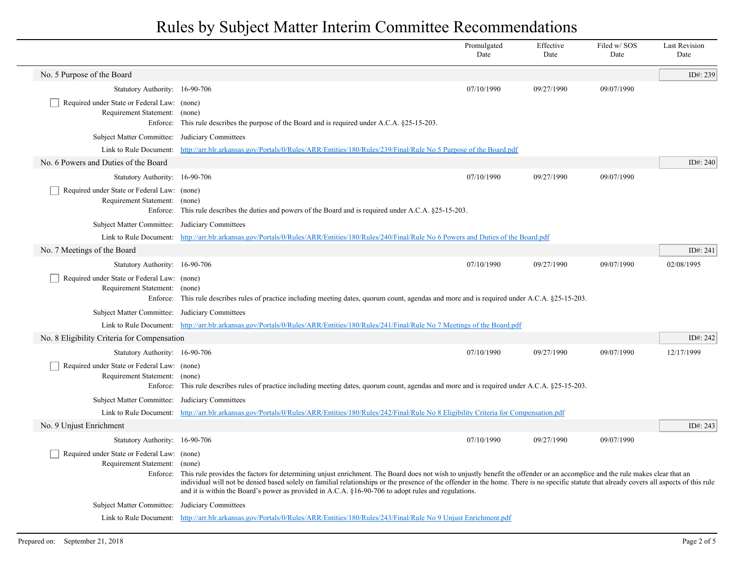|                                                                                   |                                                                                                                                                                                                                                                                                                                                                                                                                                                                                              | Promulgated<br>Date | Effective<br>Date | Filed w/ SOS<br>Date | <b>Last Revision</b><br>Date |
|-----------------------------------------------------------------------------------|----------------------------------------------------------------------------------------------------------------------------------------------------------------------------------------------------------------------------------------------------------------------------------------------------------------------------------------------------------------------------------------------------------------------------------------------------------------------------------------------|---------------------|-------------------|----------------------|------------------------------|
| No. 5 Purpose of the Board                                                        |                                                                                                                                                                                                                                                                                                                                                                                                                                                                                              |                     |                   |                      | ID#: 239                     |
| Statutory Authority: 16-90-706                                                    |                                                                                                                                                                                                                                                                                                                                                                                                                                                                                              | 07/10/1990          | 09/27/1990        | 09/07/1990           |                              |
| Required under State or Federal Law: (none)<br>Requirement Statement:<br>Enforce: | (none)<br>This rule describes the purpose of the Board and is required under A.C.A. §25-15-203.                                                                                                                                                                                                                                                                                                                                                                                              |                     |                   |                      |                              |
| Subject Matter Committee:                                                         | Judiciary Committees                                                                                                                                                                                                                                                                                                                                                                                                                                                                         |                     |                   |                      |                              |
| Link to Rule Document:                                                            | http://arr.blr.arkansas.gov/Portals/0/Rules/ARR/Entities/180/Rules/239/Final/Rule No 5 Purpose of the Board.pdf                                                                                                                                                                                                                                                                                                                                                                              |                     |                   |                      |                              |
| No. 6 Powers and Duties of the Board                                              |                                                                                                                                                                                                                                                                                                                                                                                                                                                                                              |                     |                   |                      | ID#: 240                     |
| Statutory Authority: 16-90-706                                                    |                                                                                                                                                                                                                                                                                                                                                                                                                                                                                              | 07/10/1990          | 09/27/1990        | 09/07/1990           |                              |
| Required under State or Federal Law: (none)<br>Requirement Statement:             | (none)<br>Enforce: This rule describes the duties and powers of the Board and is required under A.C.A. §25-15-203.                                                                                                                                                                                                                                                                                                                                                                           |                     |                   |                      |                              |
| Subject Matter Committee: Judiciary Committees                                    |                                                                                                                                                                                                                                                                                                                                                                                                                                                                                              |                     |                   |                      |                              |
|                                                                                   | Link to Rule Document: http://arr.blr.arkansas.gov/Portals/0/Rules/ARR/Entities/180/Rules/240/Final/Rule No 6 Powers and Duties of the Board.pdf                                                                                                                                                                                                                                                                                                                                             |                     |                   |                      |                              |
| No. 7 Meetings of the Board                                                       |                                                                                                                                                                                                                                                                                                                                                                                                                                                                                              |                     |                   |                      | ID#: 241                     |
| Statutory Authority: 16-90-706                                                    |                                                                                                                                                                                                                                                                                                                                                                                                                                                                                              | 07/10/1990          | 09/27/1990        | 09/07/1990           | 02/08/1995                   |
| Required under State or Federal Law: (none)<br>Requirement Statement: (none)      | Enforce: This rule describes rules of practice including meeting dates, quorum count, agendas and more and is required under A.C.A. §25-15-203.                                                                                                                                                                                                                                                                                                                                              |                     |                   |                      |                              |
| Subject Matter Committee: Judiciary Committees                                    |                                                                                                                                                                                                                                                                                                                                                                                                                                                                                              |                     |                   |                      |                              |
|                                                                                   | Link to Rule Document: http://arr.blr.arkansas.gov/Portals/0/Rules/ARR/Entities/180/Rules/241/Final/Rule No 7 Meetings of the Board.pdf                                                                                                                                                                                                                                                                                                                                                      |                     |                   |                      |                              |
| No. 8 Eligibility Criteria for Compensation                                       |                                                                                                                                                                                                                                                                                                                                                                                                                                                                                              |                     |                   |                      | ID#: 242                     |
| Statutory Authority: 16-90-706                                                    |                                                                                                                                                                                                                                                                                                                                                                                                                                                                                              | 07/10/1990          | 09/27/1990        | 09/07/1990           | 12/17/1999                   |
| Required under State or Federal Law: (none)<br>Requirement Statement:             | (none)<br>Enforce: This rule describes rules of practice including meeting dates, quorum count, agendas and more and is required under A.C.A. §25-15-203.                                                                                                                                                                                                                                                                                                                                    |                     |                   |                      |                              |
| Subject Matter Committee:                                                         | Judiciary Committees                                                                                                                                                                                                                                                                                                                                                                                                                                                                         |                     |                   |                      |                              |
|                                                                                   | Link to Rule Document: http://arr.blr.arkansas.gov/Portals/0/Rules/ARR/Entities/180/Rules/242/Final/Rule No 8 Eligibility Criteria for Compensation.pdf                                                                                                                                                                                                                                                                                                                                      |                     |                   |                      |                              |
| No. 9 Unjust Enrichment                                                           |                                                                                                                                                                                                                                                                                                                                                                                                                                                                                              |                     |                   |                      | ID#: 243                     |
| Statutory Authority: 16-90-706                                                    |                                                                                                                                                                                                                                                                                                                                                                                                                                                                                              | 07/10/1990          | 09/27/1990        | 09/07/1990           |                              |
| Required under State or Federal Law: (none)<br>Requirement Statement:<br>Enforce: | (none)<br>This rule provides the factors for determining unjust enrichment. The Board does not wish to unjustly benefit the offender or an accomplice and the rule makes clear that an<br>individual will not be denied based solely on familial relationships or the presence of the offender in the home. There is no specific statute that already covers all aspects of this rule<br>and it is within the Board's power as provided in A.C.A. §16-90-706 to adopt rules and regulations. |                     |                   |                      |                              |
| Subject Matter Committee: Judiciary Committees                                    |                                                                                                                                                                                                                                                                                                                                                                                                                                                                                              |                     |                   |                      |                              |
|                                                                                   | Link to Rule Document: http://arr.blr.arkansas.gov/Portals/0/Rules/ARR/Entities/180/Rules/243/Final/Rule No 9 Unjust Enrichment.pdf                                                                                                                                                                                                                                                                                                                                                          |                     |                   |                      |                              |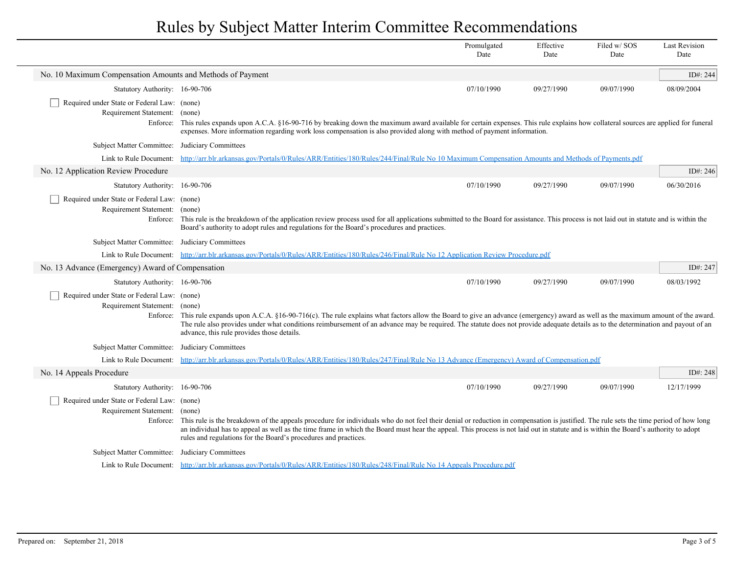|                                                                                          |                                                                                                                                                                                                                                                                                                                                                                                                                                                          | Promulgated<br>Date | Effective<br>Date | Filed w/SOS<br>Date | <b>Last Revision</b><br>Date |
|------------------------------------------------------------------------------------------|----------------------------------------------------------------------------------------------------------------------------------------------------------------------------------------------------------------------------------------------------------------------------------------------------------------------------------------------------------------------------------------------------------------------------------------------------------|---------------------|-------------------|---------------------|------------------------------|
| No. 10 Maximum Compensation Amounts and Methods of Payment                               |                                                                                                                                                                                                                                                                                                                                                                                                                                                          |                     |                   |                     | ID#: 244                     |
| Statutory Authority: 16-90-706                                                           |                                                                                                                                                                                                                                                                                                                                                                                                                                                          | 07/10/1990          | 09/27/1990        | 09/07/1990          | 08/09/2004                   |
| Required under State or Federal Law: (none)<br>Requirement Statement:                    | (none)<br>Enforce: This rules expands upon A.C.A. §16-90-716 by breaking down the maximum award available for certain expenses. This rule explains how collateral sources are applied for funeral<br>expenses. More information regarding work loss compensation is also provided along with method of payment information.                                                                                                                              |                     |                   |                     |                              |
| <b>Subject Matter Committee:</b>                                                         | Judiciary Committees                                                                                                                                                                                                                                                                                                                                                                                                                                     |                     |                   |                     |                              |
| Link to Rule Document:                                                                   | http://arr.blr.arkansas.gov/Portals/0/Rules/ARR/Entities/180/Rules/244/Final/Rule No 10 Maximum Compensation Amounts and Methods of Payments.pdf                                                                                                                                                                                                                                                                                                         |                     |                   |                     |                              |
| No. 12 Application Review Procedure                                                      |                                                                                                                                                                                                                                                                                                                                                                                                                                                          |                     |                   |                     | ID#: 246                     |
| Statutory Authority: 16-90-706                                                           |                                                                                                                                                                                                                                                                                                                                                                                                                                                          | 07/10/1990          | 09/27/1990        | 09/07/1990          | 06/30/2016                   |
| Required under State or Federal Law: (none)<br>Requirement Statement: (none)             | Enforce: This rule is the breakdown of the application review process used for all applications submitted to the Board for assistance. This process is not laid out in statute and is within the<br>Board's authority to adopt rules and regulations for the Board's procedures and practices.                                                                                                                                                           |                     |                   |                     |                              |
| Subject Matter Committee: Judiciary Committees                                           |                                                                                                                                                                                                                                                                                                                                                                                                                                                          |                     |                   |                     |                              |
|                                                                                          | Link to Rule Document: http://arr.blr.arkansas.gov/Portals/0/Rules/ARR/Entities/180/Rules/246/Final/Rule No 12 Application Review Procedure.pdf                                                                                                                                                                                                                                                                                                          |                     |                   |                     |                              |
| No. 13 Advance (Emergency) Award of Compensation                                         |                                                                                                                                                                                                                                                                                                                                                                                                                                                          |                     |                   |                     | ID#: 247                     |
| Statutory Authority: 16-90-706                                                           |                                                                                                                                                                                                                                                                                                                                                                                                                                                          | 07/10/1990          | 09/27/1990        | 09/07/1990          | 08/03/1992                   |
| Required under State or Federal Law: (none)<br>Requirement Statement: (none)<br>Enforce: | This rule expands upon A.C.A. §16-90-716(c). The rule explains what factors allow the Board to give an advance (emergency) award as well as the maximum amount of the award.<br>The rule also provides under what conditions reimbursement of an advance may be required. The statute does not provide adequate details as to the determination and payout of an<br>advance, this rule provides those details.                                           |                     |                   |                     |                              |
| <b>Subject Matter Committee:</b>                                                         | Judiciary Committees                                                                                                                                                                                                                                                                                                                                                                                                                                     |                     |                   |                     |                              |
|                                                                                          | Link to Rule Document: http://arr.blr.arkansas.gov/Portals/0/Rules/ARR/Entities/180/Rules/247/Final/Rule No 13 Advance (Emergency) Award of Compensation.pdf                                                                                                                                                                                                                                                                                             |                     |                   |                     |                              |
| No. 14 Appeals Procedure                                                                 |                                                                                                                                                                                                                                                                                                                                                                                                                                                          |                     |                   |                     | ID#: 248                     |
| Statutory Authority: 16-90-706                                                           |                                                                                                                                                                                                                                                                                                                                                                                                                                                          | 07/10/1990          | 09/27/1990        | 09/07/1990          | 12/17/1999                   |
| Required under State or Federal Law: (none)<br>Requirement Statement: (none)             | Enforce: This rule is the breakdown of the appeals procedure for individuals who do not feel their denial or reduction in compensation is justified. The rule sets the time period of how long<br>an individual has to appeal as well as the time frame in which the Board must hear the appeal. This process is not laid out in statute and is within the Board's authority to adopt<br>rules and regulations for the Board's procedures and practices. |                     |                   |                     |                              |
| Subject Matter Committee: Judiciary Committees                                           |                                                                                                                                                                                                                                                                                                                                                                                                                                                          |                     |                   |                     |                              |
|                                                                                          | Link to Rule Document: http://arr.blr.arkansas.gov/Portals/0/Rules/ARR/Entities/180/Rules/248/Final/Rule No 14 Appeals Procedure.pdf                                                                                                                                                                                                                                                                                                                     |                     |                   |                     |                              |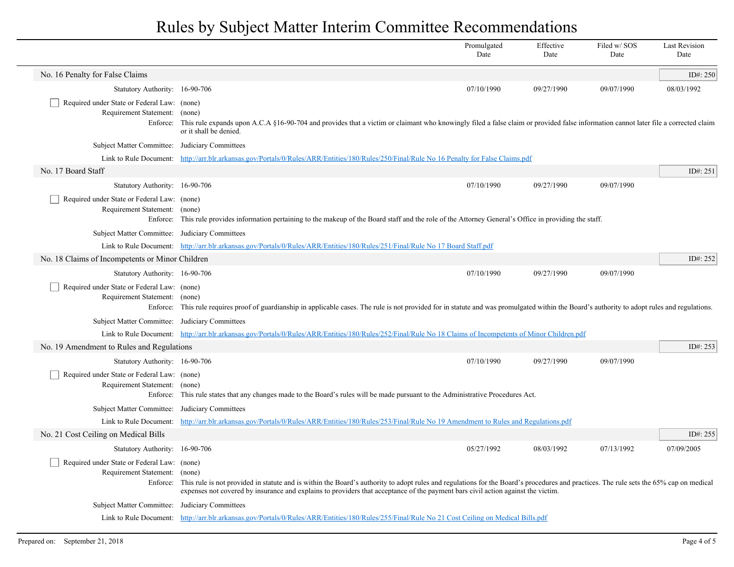|                                                                                          |                                                                                                                                                                                                                                                                                                                                     | Promulgated<br>Date | Effective<br>Date | Filed w/ SOS<br>Date | <b>Last Revision</b><br>Date |
|------------------------------------------------------------------------------------------|-------------------------------------------------------------------------------------------------------------------------------------------------------------------------------------------------------------------------------------------------------------------------------------------------------------------------------------|---------------------|-------------------|----------------------|------------------------------|
| No. 16 Penalty for False Claims                                                          |                                                                                                                                                                                                                                                                                                                                     |                     |                   |                      | ID#: 250                     |
| Statutory Authority: 16-90-706                                                           |                                                                                                                                                                                                                                                                                                                                     | 07/10/1990          | 09/27/1990        | 09/07/1990           | 08/03/1992                   |
| Required under State or Federal Law: (none)<br>Requirement Statement: (none)<br>Enforce: | This rule expands upon A.C.A §16-90-704 and provides that a victim or claimant who knowingly filed a false claim or provided false information cannot later file a corrected claim<br>or it shall be denied.                                                                                                                        |                     |                   |                      |                              |
| Subject Matter Committee: Judiciary Committees                                           |                                                                                                                                                                                                                                                                                                                                     |                     |                   |                      |                              |
|                                                                                          | Link to Rule Document: http://arr.blr.arkansas.gov/Portals/0/Rules/ARR/Entities/180/Rules/250/Final/Rule No 16 Penalty for False Claims.pdf                                                                                                                                                                                         |                     |                   |                      |                              |
| No. 17 Board Staff                                                                       |                                                                                                                                                                                                                                                                                                                                     |                     |                   |                      | ID#: 251                     |
| Statutory Authority: 16-90-706                                                           |                                                                                                                                                                                                                                                                                                                                     | 07/10/1990          | 09/27/1990        | 09/07/1990           |                              |
| Required under State or Federal Law: (none)<br>Requirement Statement: (none)             | Enforce: This rule provides information pertaining to the makeup of the Board staff and the role of the Attorney General's Office in providing the staff.                                                                                                                                                                           |                     |                   |                      |                              |
| Subject Matter Committee: Judiciary Committees                                           |                                                                                                                                                                                                                                                                                                                                     |                     |                   |                      |                              |
|                                                                                          | Link to Rule Document: http://arr.blr.arkansas.gov/Portals/0/Rules/ARR/Entities/180/Rules/251/Final/Rule No 17 Board Staff.pdf                                                                                                                                                                                                      |                     |                   |                      |                              |
| No. 18 Claims of Incompetents or Minor Children                                          |                                                                                                                                                                                                                                                                                                                                     |                     |                   |                      | ID#: 252                     |
| Statutory Authority: 16-90-706                                                           |                                                                                                                                                                                                                                                                                                                                     | 07/10/1990          | 09/27/1990        | 09/07/1990           |                              |
| Required under State or Federal Law: (none)<br>Requirement Statement: (none)             | Enforce: This rule requires proof of guardianship in applicable cases. The rule is not provided for in statute and was promulgated within the Board's authority to adopt rules and regulations.                                                                                                                                     |                     |                   |                      |                              |
| Subject Matter Committee: Judiciary Committees                                           |                                                                                                                                                                                                                                                                                                                                     |                     |                   |                      |                              |
|                                                                                          | Link to Rule Document: http://arr.blr.arkansas.gov/Portals/0/Rules/ARR/Entities/180/Rules/252/Final/Rule No 18 Claims of Incompetents of Minor Children.pdf                                                                                                                                                                         |                     |                   |                      |                              |
| No. 19 Amendment to Rules and Regulations                                                |                                                                                                                                                                                                                                                                                                                                     |                     |                   |                      | ID#: 253                     |
| Statutory Authority: 16-90-706                                                           |                                                                                                                                                                                                                                                                                                                                     | 07/10/1990          | 09/27/1990        | 09/07/1990           |                              |
| Required under State or Federal Law: (none)<br>Requirement Statement: (none)             | Enforce: This rule states that any changes made to the Board's rules will be made pursuant to the Administrative Procedures Act.                                                                                                                                                                                                    |                     |                   |                      |                              |
| Subject Matter Committee: Judiciary Committees                                           |                                                                                                                                                                                                                                                                                                                                     |                     |                   |                      |                              |
|                                                                                          | Link to Rule Document: http://arr.blr.arkansas.gov/Portals/0/Rules/ARR/Entities/180/Rules/253/Final/Rule No 19 Amendment to Rules and Regulations.pdf                                                                                                                                                                               |                     |                   |                      |                              |
| No. 21 Cost Ceiling on Medical Bills                                                     |                                                                                                                                                                                                                                                                                                                                     |                     |                   |                      | ID#: 255                     |
| Statutory Authority: 16-90-706                                                           |                                                                                                                                                                                                                                                                                                                                     | 05/27/1992          | 08/03/1992        | 07/13/1992           | 07/09/2005                   |
| Required under State or Federal Law: (none)<br>Requirement Statement: (none)             | Enforce: This rule is not provided in statute and is within the Board's authority to adopt rules and regulations for the Board's procedures and practices. The rule sets the 65% cap on medical<br>expenses not covered by insurance and explains to providers that acceptance of the payment bars civil action against the victim. |                     |                   |                      |                              |
| Subject Matter Committee: Judiciary Committees                                           |                                                                                                                                                                                                                                                                                                                                     |                     |                   |                      |                              |
|                                                                                          | Link to Rule Document: http://arr.blr.arkansas.gov/Portals/0/Rules/ARR/Entities/180/Rules/255/Final/Rule No 21 Cost Ceiling on Medical Bills.pdf                                                                                                                                                                                    |                     |                   |                      |                              |